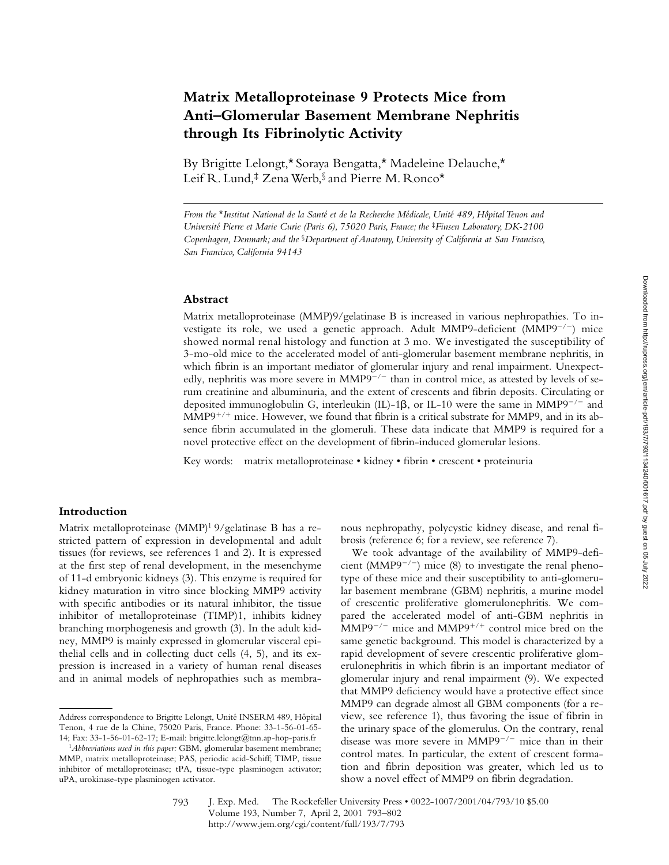# **Matrix Metalloproteinase 9 Protects Mice from Anti–Glomerular Basement Membrane Nephritis through Its Fibrinolytic Activity**

By Brigitte Lelongt,\* Soraya Bengatta,\* Madeleine Delauche,\* Leif R. Lund,‡ Zena Werb,§ and Pierre M. Ronco\*

*From the* \**Institut National de la Santé et de la Recherche Médicale, Unité 489, Hôpital Tenon and Université Pierre et Marie Curie (Paris 6), 75020 Paris, France; the* <sup>‡</sup>*Finsen Laboratory, DK-2100 Copenhagen, Denmark; and the* §*Department of Anatomy, University of California at San Francisco, San Francisco, California 94143*

#### **Abstract**

Matrix metalloproteinase (MMP)9/gelatinase B is increased in various nephropathies. To investigate its role, we used a genetic approach. Adult MMP9-deficient  $(MMP9^{-/-})$  mice showed normal renal histology and function at 3 mo. We investigated the susceptibility of 3-mo-old mice to the accelerated model of anti-glomerular basement membrane nephritis, in which fibrin is an important mediator of glomerular injury and renal impairment. Unexpectedly, nephritis was more severe in  $MMP9^{-/-}$  than in control mice, as attested by levels of serum creatinine and albuminuria, and the extent of crescents and fibrin deposits. Circulating or deposited immunoglobulin G, interleukin (IL)-1 $\beta$ , or IL-10 were the same in MMP9<sup>-/-</sup> and  $MMP9^{+/+}$  mice. However, we found that fibrin is a critical substrate for MMP9, and in its absence fibrin accumulated in the glomeruli. These data indicate that MMP9 is required for a novel protective effect on the development of fibrin-induced glomerular lesions.

Key words: matrix metalloproteinase • kidney • fibrin • crescent • proteinuria

## **Introduction**

Matrix metalloproteinase (MMP)<sup>1</sup> 9/gelatinase B has a restricted pattern of expression in developmental and adult tissues (for reviews, see references 1 and 2). It is expressed at the first step of renal development, in the mesenchyme of 11-d embryonic kidneys (3). This enzyme is required for kidney maturation in vitro since blocking MMP9 activity with specific antibodies or its natural inhibitor, the tissue inhibitor of metalloproteinase (TIMP)1, inhibits kidney branching morphogenesis and growth (3). In the adult kidney, MMP9 is mainly expressed in glomerular visceral epithelial cells and in collecting duct cells (4, 5), and its expression is increased in a variety of human renal diseases and in animal models of nephropathies such as membra-

nous nephropathy, polycystic kidney disease, and renal fibrosis (reference 6; for a review, see reference 7).

We took advantage of the availability of MMP9-deficient (MMP9<sup>-/-</sup>) mice (8) to investigate the renal phenotype of these mice and their susceptibility to anti-glomerular basement membrane (GBM) nephritis, a murine model of crescentic proliferative glomerulonephritis. We compared the accelerated model of anti-GBM nephritis in  $MMP9^{-/-}$  mice and MMP9<sup>+/+</sup> control mice bred on the same genetic background. This model is characterized by a rapid development of severe crescentic proliferative glomerulonephritis in which fibrin is an important mediator of glomerular injury and renal impairment (9). We expected that MMP9 deficiency would have a protective effect since MMP9 can degrade almost all GBM components (for a review, see reference 1), thus favoring the issue of fibrin in the urinary space of the glomerulus. On the contrary, renal disease was more severe in  $MMP9^{-/-}$  mice than in their control mates. In particular, the extent of crescent formation and fibrin deposition was greater, which led us to show a novel effect of MMP9 on fibrin degradation.

Address correspondence to Brigitte Lelongt, Unité INSERM 489, Hôpital Tenon, 4 rue de la Chine, 75020 Paris, France. Phone: 33-1-56-01-65- 14; Fax: 33-1-56-01-62-17; E-mail: brigitte.lelongt@tnn.ap-hop-paris.fr

<sup>1</sup>*Abbreviations used in this paper:* GBM, glomerular basement membrane; MMP, matrix metalloproteinase; PAS, periodic acid-Schiff; TIMP, tissue inhibitor of metalloproteinase; tPA, tissue-type plasminogen activator; uPA, urokinase-type plasminogen activator.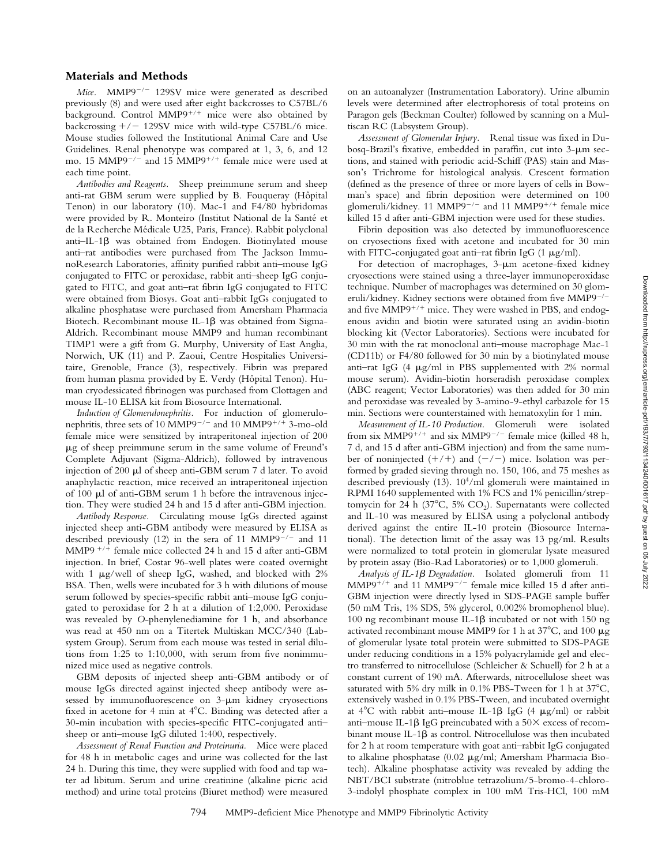#### **Materials and Methods**

*Mice.* MMP9<sup> $-/-$ </sup> 129SV mice were generated as described previously (8) and were used after eight backcrosses to C57BL/6 background. Control  $MMP9^{+/+}$  mice were also obtained by backcrossing  $+/-$  129SV mice with wild-type C57BL/6 mice. Mouse studies followed the Institutional Animal Care and Use Guidelines. Renal phenotype was compared at 1, 3, 6, and 12 mo. 15 MMP9<sup>-/-</sup> and 15 MMP9<sup>+/+</sup> female mice were used at each time point.

*Antibodies and Reagents.* Sheep preimmune serum and sheep anti-rat GBM serum were supplied by B. Fouqueray (Hôpital Tenon) in our laboratory (10). Mac-1 and F4/80 hybridomas were provided by R. Monteiro (Institut National de la Santé et de la Recherche Médicale U25, Paris, France). Rabbit polyclonal anti–IL-1 $\beta$  was obtained from Endogen. Biotinylated mouse anti–rat antibodies were purchased from The Jackson ImmunoResearch Laboratories, affinity purified rabbit anti–mouse IgG conjugated to FITC or peroxidase, rabbit anti–sheep IgG conjugated to FITC, and goat anti–rat fibrin IgG conjugated to FITC were obtained from Biosys. Goat anti–rabbit IgGs conjugated to alkaline phosphatase were purchased from Amersham Pharmacia Biotech. Recombinant mouse IL-1 $\beta$  was obtained from Sigma-Aldrich. Recombinant mouse MMP9 and human recombinant TIMP1 were a gift from G. Murphy, University of East Anglia, Norwich, UK (11) and P. Zaoui, Centre Hospitalies Universitaire, Grenoble, France (3), respectively. Fibrin was prepared from human plasma provided by E. Verdy (Hôpital Tenon). Human cryodessicated fibrinogen was purchased from Clottagen and mouse IL-10 ELISA kit from Biosource International.

*Induction of Glomerulonephritis.* For induction of glomerulonephritis, three sets of 10 MMP9<sup> $-/-$ </sup> and 10 MMP9<sup> $+/+$ </sup> 3-mo-old female mice were sensitized by intraperitoneal injection of 200  $\mu$ g of sheep preimmune serum in the same volume of Freund's Complete Adjuvant (Sigma-Aldrich), followed by intravenous injection of 200 µl of sheep anti-GBM serum 7 d later. To avoid anaphylactic reaction, mice received an intraperitoneal injection of 100 ml of anti-GBM serum 1 h before the intravenous injection. They were studied 24 h and 15 d after anti-GBM injection.

*Antibody Response.* Circulating mouse IgGs directed against injected sheep anti-GBM antibody were measured by ELISA as described previously (12) in the sera of 11 MMP9<sup> $-/-$ </sup> and 11 MMP9<sup> $+/+$ </sup> female mice collected 24 h and 15 d after anti-GBM injection. In brief, Costar 96-well plates were coated overnight with 1  $\mu$ g/well of sheep IgG, washed, and blocked with 2% BSA. Then, wells were incubated for 3 h with dilutions of mouse serum followed by species-specific rabbit anti–mouse IgG conjugated to peroxidase for 2 h at a dilution of 1:2,000. Peroxidase was revealed by *O*-phenylenediamine for 1 h, and absorbance was read at 450 nm on a Titertek Multiskan MCC/340 (Labsystem Group). Serum from each mouse was tested in serial dilutions from 1:25 to 1:10,000, with serum from five nonimmunized mice used as negative controls.

GBM deposits of injected sheep anti-GBM antibody or of mouse IgGs directed against injected sheep antibody were assessed by immunofluorescence on  $3-\mu m$  kidney cryosections fixed in acetone for 4 min at  $4^{\circ}$ C. Binding was detected after a 30-min incubation with species-specific FITC-conjugated anti– sheep or anti–mouse IgG diluted 1:400, respectively.

*Assessment of Renal Function and Proteinuria.* Mice were placed for 48 h in metabolic cages and urine was collected for the last 24 h. During this time, they were supplied with food and tap water ad libitum. Serum and urine creatinine (alkaline picric acid method) and urine total proteins (Biuret method) were measured on an autoanalyzer (Instrumentation Laboratory). Urine albumin levels were determined after electrophoresis of total proteins on Paragon gels (Beckman Coulter) followed by scanning on a Multiscan RC (Labsystem Group).

*Assessment of Glomerular Injury.* Renal tissue was fixed in Dubosq-Brazil's fixative, embedded in paraffin, cut into  $3-\mu m$  sections, and stained with periodic acid-Schiff (PAS) stain and Masson's Trichrome for histological analysis. Crescent formation (defined as the presence of three or more layers of cells in Bowman's space) and fibrin deposition were determined on 100 glomeruli/kidney. 11 MMP9<sup>-/-</sup> and 11 MMP9<sup>+/+</sup> female mice killed 15 d after anti-GBM injection were used for these studies.

Fibrin deposition was also detected by immunofluorescence on cryosections fixed with acetone and incubated for 30 min with FITC-conjugated goat anti-rat fibrin IgG  $(1 \mu g/ml)$ .

For detection of macrophages,  $3-\mu m$  acetone-fixed kidney cryosections were stained using a three-layer immunoperoxidase technique. Number of macrophages was determined on 30 glomeruli/kidney. Kidney sections were obtained from five MMP9<sup>-/-</sup> and five MMP9<sup>+/+</sup> mice. They were washed in PBS, and endogenous avidin and biotin were saturated using an avidin-biotin blocking kit (Vector Laboratories). Sections were incubated for 30 min with the rat monoclonal anti–mouse macrophage Mac-1 (CD11b) or F4/80 followed for 30 min by a biotinylated mouse anti-rat IgG  $(4 \mu g/ml)$  in PBS supplemented with 2% normal mouse serum). Avidin-biotin horseradish peroxidase complex (ABC reagent; Vector Laboratories) was then added for 30 min and peroxidase was revealed by 3-amino-9-ethyl carbazole for 15 min. Sections were counterstained with hematoxylin for 1 min.

*Measurement of IL-10 Production.* Glomeruli were isolated from six MMP9<sup>+/+</sup> and six MMP9<sup>-/-</sup> female mice (killed 48 h, 7 d, and 15 d after anti-GBM injection) and from the same number of noninjected  $(+/+)$  and  $(-/-)$  mice. Isolation was performed by graded sieving through no. 150, 106, and 75 meshes as described previously (13). 104/ml glomeruli were maintained in RPMI 1640 supplemented with 1% FCS and 1% penicillin/streptomycin for 24 h (37 $^{\circ}$ C, 5% CO<sub>2</sub>). Supernatants were collected and IL-10 was measured by ELISA using a polyclonal antibody derived against the entire IL-10 protein (Biosource International). The detection limit of the assay was 13 pg/ml. Results were normalized to total protein in glomerular lysate measured by protein assay (Bio-Rad Laboratories) or to 1,000 glomeruli.

*Analysis of IL-1*b *Degradation.* Isolated glomeruli from 11  $MMP9^{+/+}$  and 11  $MMP9^{-/-}$  female mice killed 15 d after anti-GBM injection were directly lysed in SDS-PAGE sample buffer (50 mM Tris, 1% SDS, 5% glycerol, 0.002% bromophenol blue). 100 ng recombinant mouse IL-1 $\beta$  incubated or not with 150 ng activated recombinant mouse MMP9 for 1 h at  $37^{\circ}$ C, and 100  $\mu$ g of glomerular lysate total protein were submitted to SDS-PAGE under reducing conditions in a 15% polyacrylamide gel and electro transferred to nitrocellulose (Schleicher & Schuell) for 2 h at a constant current of 190 mA. Afterwards, nitrocellulose sheet was saturated with 5% dry milk in 0.1% PBS-Tween for 1 h at  $37^{\circ}$ C, extensively washed in 0.1% PBS-Tween, and incubated overnight at  $4^{\circ}$ C with rabbit anti-mouse IL-1 $\beta$  IgG (4  $\mu$ g/ml) or rabbit anti–mouse IL-1 $\beta$  IgG preincubated with a 50 $\times$  excess of recombinant mouse IL-1 $\beta$  as control. Nitrocellulose was then incubated for 2 h at room temperature with goat anti–rabbit IgG conjugated to alkaline phosphatase (0.02  $\mu$ g/ml; Amersham Pharmacia Biotech). Alkaline phosphatase activity was revealed by adding the NBT/BCI substrate (nitroblue tetrazolium/5-bromo-4-chloro-3-indolyl phosphate complex in 100 mM Tris-HCl, 100 mM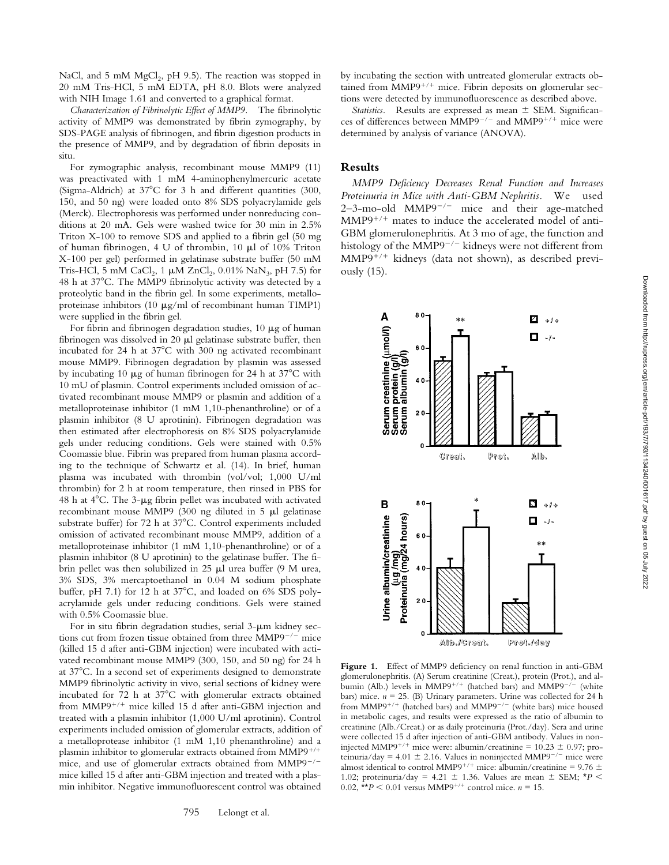NaCl, and 5 mM MgCl<sub>2</sub>, pH 9.5). The reaction was stopped in 20 mM Tris-HCl, 5 mM EDTA, pH 8.0. Blots were analyzed with NIH Image 1.61 and converted to a graphical format.

*Characterization of Fibrinolytic Effect of MMP9.* The fibrinolytic activity of MMP9 was demonstrated by fibrin zymography, by SDS-PAGE analysis of fibrinogen, and fibrin digestion products in the presence of MMP9, and by degradation of fibrin deposits in situ.

For zymographic analysis, recombinant mouse MMP9 (11) was preactivated with 1 mM 4-aminophenylmercuric acetate (Sigma-Aldrich) at  $37^{\circ}$ C for 3 h and different quantities (300, 150, and 50 ng) were loaded onto 8% SDS polyacrylamide gels (Merck). Electrophoresis was performed under nonreducing conditions at 20 mA. Gels were washed twice for 30 min in 2.5% Triton X-100 to remove SDS and applied to a fibrin gel (50 mg of human fibrinogen, 4 U of thrombin, 10 ml of 10% Triton X-100 per gel) performed in gelatinase substrate buffer (50 mM Tris-HCl, 5 mM CaCl<sub>2</sub>, 1  $\mu$ M ZnCl<sub>2</sub>, 0.01% NaN<sub>3</sub>, pH 7.5) for 48 h at  $37^{\circ}$ C. The MMP9 fibrinolytic activity was detected by a proteolytic band in the fibrin gel. In some experiments, metalloproteinase inhibitors (10  $\mu$ g/ml of recombinant human TIMP1) were supplied in the fibrin gel.

For fibrin and fibrinogen degradation studies,  $10 \mu$ g of human fibrinogen was dissolved in 20  $\mu$ l gelatinase substrate buffer, then incubated for 24 h at  $37^{\circ}$ C with 300 ng activated recombinant mouse MMP9. Fibrinogen degradation by plasmin was assessed by incubating 10  $\mu$ g of human fibrinogen for 24 h at 37°C with 10 mU of plasmin. Control experiments included omission of activated recombinant mouse MMP9 or plasmin and addition of a metalloproteinase inhibitor (1 mM 1,10-phenanthroline) or of a plasmin inhibitor (8 U aprotinin). Fibrinogen degradation was then estimated after electrophoresis on 8% SDS polyacrylamide gels under reducing conditions. Gels were stained with 0.5% Coomassie blue. Fibrin was prepared from human plasma according to the technique of Schwartz et al. (14). In brief, human plasma was incubated with thrombin (vol/vol; 1,000 U/ml thrombin) for 2 h at room temperature, then rinsed in PBS for 48 h at  $4^{\circ}$ C. The 3- $\mu$ g fibrin pellet was incubated with activated recombinant mouse MMP9 (300 ng diluted in 5  $\mu$ l gelatinase substrate buffer) for 72 h at 37°C. Control experiments included omission of activated recombinant mouse MMP9, addition of a metalloproteinase inhibitor (1 mM 1,10-phenanthroline) or of a plasmin inhibitor (8 U aprotinin) to the gelatinase buffer. The fibrin pellet was then solubilized in 25  $\mu$ l urea buffer (9 M urea, 3% SDS, 3% mercaptoethanol in 0.04 M sodium phosphate buffer, pH 7.1) for 12 h at  $37^{\circ}$ C, and loaded on 6% SDS polyacrylamide gels under reducing conditions. Gels were stained with 0.5% Coomassie blue.

For in situ fibrin degradation studies, serial  $3-\mu m$  kidney sections cut from frozen tissue obtained from three  $MMP9^{-/-}$  mice (killed 15 d after anti-GBM injection) were incubated with activated recombinant mouse MMP9 (300, 150, and 50 ng) for 24 h at 378C. In a second set of experiments designed to demonstrate MMP9 fibrinolytic activity in vivo, serial sections of kidney were incubated for  $72$  h at  $37^{\circ}$ C with glomerular extracts obtained from  $MMP9^{+/+}$  mice killed 15 d after anti-GBM injection and treated with a plasmin inhibitor (1,000 U/ml aprotinin). Control experiments included omission of glomerular extracts, addition of a metalloprotease inhibitor (1 mM 1,10 phenanthroline) and a plasmin inhibitor to glomerular extracts obtained from  $MMP9^{+/+}$ mice, and use of glomerular extracts obtained from  $MMP9^{-/-}$ mice killed 15 d after anti-GBM injection and treated with a plasmin inhibitor. Negative immunofluorescent control was obtained by incubating the section with untreated glomerular extracts obtained from  $MMP9^{+/+}$  mice. Fibrin deposits on glomerular sections were detected by immunofluorescence as described above.

*Statistics.* Results are expressed as mean  $\pm$  SEM. Significances of differences between MMP9<sup>-/-</sup> and MMP9<sup>+/+</sup> mice were determined by analysis of variance (ANOVA).

#### **Results**

*MMP9 Deficiency Decreases Renal Function and Increases Proteinuria in Mice with Anti-GBM Nephritis.* We used  $2-3$ -mo-old MMP9<sup>-/-</sup> mice and their age-matched  $MMP9^{+/+}$  mates to induce the accelerated model of anti-GBM glomerulonephritis. At 3 mo of age, the function and histology of the MMP9<sup>-/-</sup> kidneys were not different from  $MMP9^{+/+}$  kidneys (data not shown), as described previously (15).



Figure 1. Effect of MMP9 deficiency on renal function in anti-GBM glomerulonephritis. (A) Serum creatinine (Creat.), protein (Prot.), and albumin (Alb.) levels in MMP9<sup>+/+</sup> (hatched bars) and MMP9<sup>-/-</sup> (white bars) mice.  $n = 25$ . (B) Urinary parameters. Urine was collected for 24 h from MMP9<sup>+/+</sup> (hatched bars) and MMP9<sup>-/-</sup> (white bars) mice housed in metabolic cages, and results were expressed as the ratio of albumin to creatinine (Alb./Creat.) or as daily proteinuria (Prot./day). Sera and urine were collected 15 d after injection of anti-GBM antibody. Values in noninjected MMP9<sup>+/+</sup> mice were: albumin/creatinine =  $10.23 \pm 0.97$ ; proteinuria/day = 4.01  $\pm$  2.16. Values in noninjected MMP9<sup>-/-</sup> mice were almost identical to control MMP9<sup>+/+</sup> mice: albumin/creatinine = 9.76  $\pm$ 1.02; proteinuria/day = 4.21  $\pm$  1.36. Values are mean  $\pm$  SEM;  $*P$  < 0.02,  $* p < 0.01$  versus MMP9<sup>+/+</sup> control mice. *n* = 15.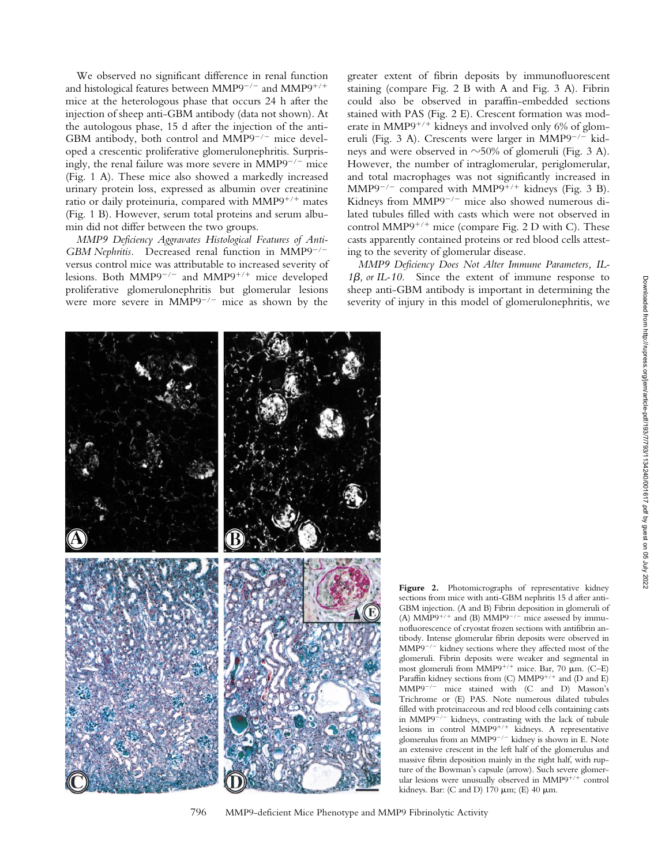We observed no significant difference in renal function and histological features between MMP9<sup>-/-</sup> and MMP9<sup>+/+</sup> mice at the heterologous phase that occurs 24 h after the injection of sheep anti-GBM antibody (data not shown). At the autologous phase, 15 d after the injection of the anti-GBM antibody, both control and  $MMP9^{-/-}$  mice developed a crescentic proliferative glomerulonephritis. Surprisingly, the renal failure was more severe in  $MMP9^{-/-}$  mice (Fig. 1 A). These mice also showed a markedly increased urinary protein loss, expressed as albumin over creatinine ratio or daily proteinuria, compared with  $MMP9^{+/+}$  mates (Fig. 1 B). However, serum total proteins and serum albumin did not differ between the two groups.

*MMP9 Deficiency Aggravates Histological Features of Anti-GBM Nephritis.* Decreased renal function in MMP9<sup>-/-</sup> versus control mice was attributable to increased severity of lesions. Both MMP9<sup>-/-</sup> and MMP9<sup>+/+</sup> mice developed proliferative glomerulonephritis but glomerular lesions were more severe in  $MMP9^{-/-}$  mice as shown by the

greater extent of fibrin deposits by immunofluorescent staining (compare Fig. 2 B with A and Fig. 3 A)*.* Fibrin could also be observed in paraffin-embedded sections stained with PAS (Fig. 2 E). Crescent formation was moderate in MMP9<sup>+/+</sup> kidneys and involved only 6% of glomeruli (Fig. 3 A). Crescents were larger in  $MMP9^{-/-}$  kidneys and were observed in  $\sim$ 50% of glomeruli (Fig. 3 A). However, the number of intraglomerular, periglomerular, and total macrophages was not significantly increased in MMP9<sup>-/-</sup> compared with MMP9<sup>+/+</sup> kidneys (Fig. 3 B). Kidneys from  $\widehat{M}MP9^{-/-}$  mice also showed numerous dilated tubules filled with casts which were not observed in control MMP9<sup>+/+</sup> mice (compare Fig. 2 D with C). These casts apparently contained proteins or red blood cells attesting to the severity of glomerular disease.

*MMP9 Deficiency Does Not Alter Immune Parameters, IL-*1β, *or IL-10*. Since the extent of immune response to sheep anti-GBM antibody is important in determining the severity of injury in this model of glomerulonephritis, we



Figure 2. Photomicrographs of representative kidney sections from mice with anti-GBM nephritis 15 d after anti-GBM injection. (A and B) Fibrin deposition in glomeruli of (A) MMP9<sup>+/+</sup> and (B) MMP9<sup>-/-</sup> mice assessed by immunofluorescence of cryostat frozen sections with antifibrin antibody. Intense glomerular fibrin deposits were observed in  $MMP9^{-/-}$  kidney sections where they affected most of the glomeruli. Fibrin deposits were weaker and segmental in most glomeruli from MMP9<sup>+/+</sup> mice. Bar, 70  $\mu$ m. (C–E) Paraffin kidney sections from (C) MMP9<sup>+/+</sup> and (D and E)  $MMP9^{-/-}$  mice stained with  $(C \text{ and } D)$  Masson's Trichrome or (E) PAS*.* Note numerous dilated tubules filled with proteinaceous and red blood cells containing casts in MMP9 $\hat{i}$ /<sup>-</sup> kidneys, contrasting with the lack of tubule lesions in control  $MMP9^{+/+}$  kidneys. A representative glomerulus from an MMP9<sup>-/-</sup> kidney is shown in E. Note an extensive crescent in the left half of the glomerulus and massive fibrin deposition mainly in the right half, with rupture of the Bowman's capsule (arrow). Such severe glomerular lesions were unusually observed in  $MMP9^{+/+}$  control kidneys. Bar: (C and D) 170  $\mu$ m; (E) 40  $\mu$ m.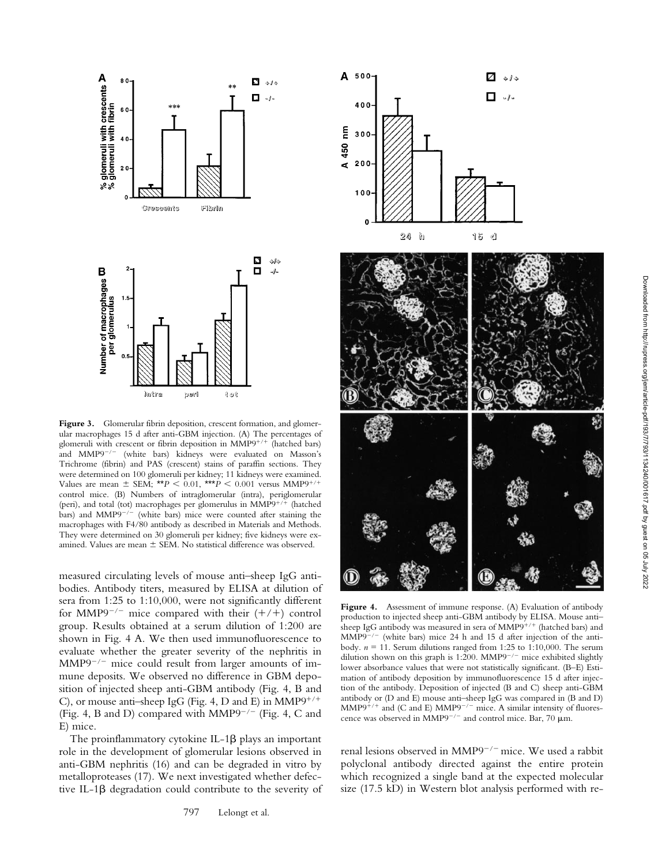

Figure 3. Glomerular fibrin deposition, crescent formation, and glomerular macrophages 15 d after anti-GBM injection. (A) The percentages of glomeruli with crescent or fibrin deposition in MMP9<sup>+/+</sup> (hatched bars) and MMP9<sup>-/-</sup> (white bars) kidneys were evaluated on Masson's Trichrome (fibrin) and PAS (crescent) stains of paraffin sections. They were determined on 100 glomeruli per kidney; 11 kidneys were examined. Values are mean  $\pm$  SEM; \*\**P* < 0.01, \*\*\**P* < 0.001 versus MMP9<sup>+</sup>/ control mice. (B) Numbers of intraglomerular (intra), periglomerular (peri), and total (tot) macrophages per glomerulus in  $MMP9^{+/+}$  (hatched bars) and MMP9<sup>-/-</sup> (white bars) mice were counted after staining the macrophages with F4/80 antibody as described in Materials and Methods. They were determined on 30 glomeruli per kidney; five kidneys were examined. Values are mean  $\pm$  SEM. No statistical difference was observed.

measured circulating levels of mouse anti–sheep IgG antibodies. Antibody titers, measured by ELISA at dilution of sera from 1:25 to 1:10,000, were not significantly different for MMP9<sup>-/-</sup> mice compared with their  $(+/+)$  control group. Results obtained at a serum dilution of 1:200 are shown in Fig. 4 A. We then used immunofluorescence to evaluate whether the greater severity of the nephritis in  $MMP9^{-/-}$  mice could result from larger amounts of immune deposits. We observed no difference in GBM deposition of injected sheep anti-GBM antibody (Fig. 4, B and C), or mouse anti-sheep IgG (Fig. 4, D and E) in  $MMP9^{+/+}$ (Fig. 4, B and D) compared with MMP9<sup> $-/-$ </sup> (Fig. 4, C and E) mice.

The proinflammatory cytokine  $IL-1\beta$  plays an important role in the development of glomerular lesions observed in anti-GBM nephritis (16) and can be degraded in vitro by metalloproteases (17). We next investigated whether defective IL-1b degradation could contribute to the severity of



Figure 4. Assessment of immune response. (A) Evaluation of antibody production to injected sheep anti-GBM antibody by ELISA. Mouse anti– sheep IgG antibody was measured in sera of MMP9<sup>+/+</sup> (hatched bars) and  $MMP9^{-/-}$  (white bars) mice 24 h and 15 d after injection of the antibody.  $n = 11$ . Serum dilutions ranged from 1:25 to 1:10,000. The serum dilution shown on this graph is 1:200. MMP9<sup> $-/-$ </sup> mice exhibited slightly lower absorbance values that were not statistically significant. (B–E) Estimation of antibody deposition by immunofluorescence 15 d after injection of the antibody. Deposition of injected (B and C) sheep anti-GBM antibody or (D and E) mouse anti–sheep IgG was compared in (B and D)  $MMP9^{+/+}$  and (C and E)  $MMP9^{-/-}$  mice. A similar intensity of fluorescence was observed in MMP9<sup>-/-</sup> and control mice. Bar, 70  $\mu$ m.

renal lesions observed in MMP9<sup>-/-</sup> mice. We used a rabbit polyclonal antibody directed against the entire protein which recognized a single band at the expected molecular size (17.5 kD) in Western blot analysis performed with re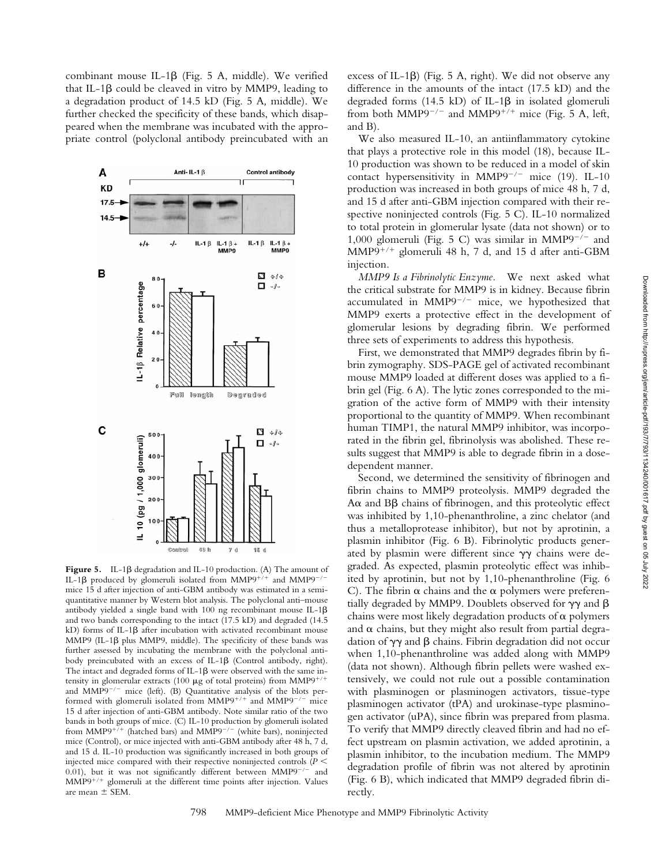combinant mouse IL-1 $\beta$  (Fig. 5 A, middle). We verified that IL-1 $\beta$  could be cleaved in vitro by MMP9, leading to a degradation product of 14.5 kD (Fig. 5 A*,* middle). We further checked the specificity of these bands, which disappeared when the membrane was incubated with the appropriate control (polyclonal antibody preincubated with an



Figure 5. IL-1 $\beta$  degradation and IL-10 production. (A) The amount of IL-1 $\beta$  produced by glomeruli isolated from MMP9<sup>+/+</sup> and MMP9<sup>-/</sup> mice 15 d after injection of anti-GBM antibody was estimated in a semiquantitative manner by Western blot analysis. The polyclonal anti–mouse antibody yielded a single band with 100 ng recombinant mouse IL-1 $\beta$ and two bands corresponding to the intact (17.5 kD) and degraded (14.5 kD) forms of IL-1 $\beta$  after incubation with activated recombinant mouse MMP9 (IL-1 $\beta$  plus MMP9, middle). The specificity of these bands was further assessed by incubating the membrane with the polyclonal antibody preincubated with an excess of IL-1 $\beta$  (Control antibody, right). The intact and degraded forms of IL-1 $\beta$  were observed with the same intensity in glomerular extracts (100  $\mu$ g of total proteins) from MMP9<sup>+/+</sup> and  $MMP9^{-/-}$  mice (left). (B) Quantitative analysis of the blots performed with glomeruli isolated from  $MMP9^{+/+}$  and  $MMP9^{-/-}$  mice 15 d after injection of anti-GBM antibody. Note similar ratio of the two bands in both groups of mice. (C) IL-10 production by glomeruli isolated from MMP9<sup>+7+</sup> (hatched bars) and MMP9<sup>-/-</sup> (white bars), noninjected mice (Control), or mice injected with anti-GBM antibody after 48 h, 7 d, and 15 d. IL-10 production was significantly increased in both groups of injected mice compared with their respective noninjected controls  $(P \leq$ 0.01), but it was not significantly different between  $MMP9^{-/-}$  and MMP9<sup>+/+</sup> glomeruli at the different time points after injection. Values are mean  $\pm$  SEM.

excess of IL-1 $\beta$ ) (Fig. 5 A, right). We did not observe any difference in the amounts of the intact (17.5 kD) and the degraded forms  $(14.5 \text{ kD})$  of IL-1 $\beta$  in isolated glomeruli from both MMP9<sup>-/-</sup> and MMP9<sup>+/+</sup> mice (Fig. 5 A, left, and B).

We also measured IL-10, an antiinflammatory cytokine that plays a protective role in this model (18), because IL-10 production was shown to be reduced in a model of skin contact hypersensitivity in MMP9<sup>-/-</sup> mice (19). IL-10 production was increased in both groups of mice 48 h, 7 d, and 15 d after anti-GBM injection compared with their respective noninjected controls (Fig. 5 C). IL-10 normalized to total protein in glomerular lysate (data not shown) or to 1,000 glomeruli (Fig. 5 C) was similar in MMP9<sup> $-/-$ </sup> and  $MMP9^{+/+}$  glomeruli 48 h, 7 d, and 15 d after anti-GBM injection.

*MMP9 Is a Fibrinolytic Enzyme.* We next asked what the critical substrate for MMP9 is in kidney. Because fibrin accumulated in  $MMP9^{-/-}$  mice, we hypothesized that MMP9 exerts a protective effect in the development of glomerular lesions by degrading fibrin. We performed three sets of experiments to address this hypothesis.

First, we demonstrated that MMP9 degrades fibrin by fibrin zymography. SDS-PAGE gel of activated recombinant mouse MMP9 loaded at different doses was applied to a fibrin gel (Fig. 6 A). The lytic zones corresponded to the migration of the active form of MMP9 with their intensity proportional to the quantity of MMP9. When recombinant human TIMP1, the natural MMP9 inhibitor, was incorporated in the fibrin gel, fibrinolysis was abolished. These results suggest that MMP9 is able to degrade fibrin in a dosedependent manner.

Second, we determined the sensitivity of fibrinogen and fibrin chains to MMP9 proteolysis. MMP9 degraded the  $A\alpha$  and  $B\beta$  chains of fibrinogen, and this proteolytic effect was inhibited by 1,10-phenanthroline, a zinc chelator (and thus a metalloprotease inhibitor), but not by aprotinin, a plasmin inhibitor (Fig. 6 B). Fibrinolytic products generated by plasmin were different since  $\gamma\gamma$  chains were degraded. As expected, plasmin proteolytic effect was inhibited by aprotinin, but not by 1,10-phenanthroline (Fig. 6 C). The fibrin  $\alpha$  chains and the  $\alpha$  polymers were preferentially degraded by MMP9. Doublets observed for  $\gamma\gamma$  and  $\beta$ chains were most likely degradation products of  $\alpha$  polymers and  $\alpha$  chains, but they might also result from partial degradation of  $\gamma\gamma$  and  $\beta$  chains. Fibrin degradation did not occur when 1,10-phenanthroline was added along with MMP9 (data not shown). Although fibrin pellets were washed extensively, we could not rule out a possible contamination with plasminogen or plasminogen activators, tissue-type plasminogen activator (tPA) and urokinase-type plasminogen activator (uPA), since fibrin was prepared from plasma. To verify that MMP9 directly cleaved fibrin and had no effect upstream on plasmin activation, we added aprotinin, a plasmin inhibitor, to the incubation medium. The MMP9 degradation profile of fibrin was not altered by aprotinin (Fig. 6 B), which indicated that MMP9 degraded fibrin directly.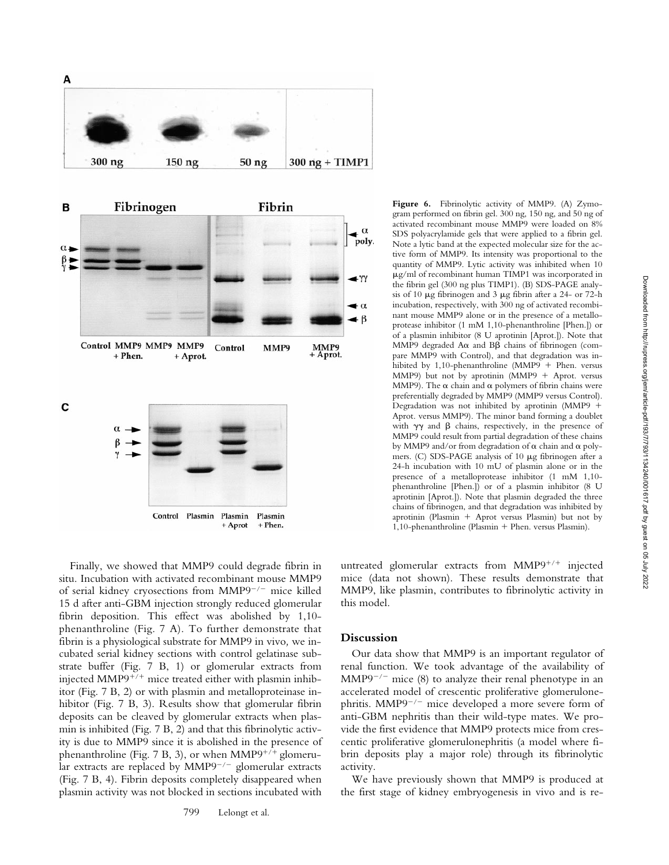

Finally, we showed that MMP9 could degrade fibrin in situ. Incubation with activated recombinant mouse MMP9 of serial kidney cryosections from  $MMP9^{-/-}$  mice killed 15 d after anti-GBM injection strongly reduced glomerular fibrin deposition. This effect was abolished by 1,10 phenanthroline (Fig. 7 A). To further demonstrate that fibrin is a physiological substrate for MMP9 in vivo*,* we incubated serial kidney sections with control gelatinase substrate buffer (Fig. 7 B, 1) or glomerular extracts from injected MMP9<sup>+/+</sup> mice treated either with plasmin inhibitor (Fig. 7 B, 2) or with plasmin and metalloproteinase inhibitor (Fig. 7 B, 3). Results show that glomerular fibrin deposits can be cleaved by glomerular extracts when plasmin is inhibited (Fig. 7 B, 2) and that this fibrinolytic activity is due to MMP9 since it is abolished in the presence of phenanthroline (Fig. 7 B, 3), or when  $MMP9^{+/+}$  glomerular extracts are replaced by  $MMP9^{-/-}$  glomerular extracts (Fig. 7 B, 4). Fibrin deposits completely disappeared when plasmin activity was not blocked in sections incubated with

**Figure 6.** Fibrinolytic activity of MMP9. (A) Zymogram performed on fibrin gel. 300 ng, 150 ng, and 50 ng of activated recombinant mouse MMP9 were loaded on 8% SDS polyacrylamide gels that were applied to a fibrin gel. Note a lytic band at the expected molecular size for the active form of MMP9. Its intensity was proportional to the quantity of MMP9. Lytic activity was inhibited when 10  $\mu$ g/ml of recombinant human TIMP1 was incorporated in the fibrin gel (300 ng plus TIMP1). (B) SDS-PAGE analysis of 10  $\mu$ g fibrinogen and 3  $\mu$ g fibrin after a 24- or 72-h incubation, respectively, with 300 ng of activated recombinant mouse MMP9 alone or in the presence of a metalloprotease inhibitor (1 mM 1,10-phenanthroline [Phen.]) or of a plasmin inhibitor (8 U aprotinin [Aprot.]). Note that MMP9 degraded  $A\alpha$  and  $B\beta$  chains of fibrinogen (compare MMP9 with Control), and that degradation was inhibited by 1,10-phenanthroline (MMP9 + Phen. versus MMP9) but not by aprotinin (MMP9  $+$  Aprot. versus MMP9). The  $\alpha$  chain and  $\alpha$  polymers of fibrin chains were preferentially degraded by MMP9 (MMP9 versus Control). Degradation was not inhibited by aprotinin (MMP9  $+$ Aprot. versus MMP9). The minor band forming a doublet with  $\gamma\gamma$  and  $\beta$  chains, respectively, in the presence of MMP9 could result from partial degradation of these chains by MMP9 and/or from degradation of  $\alpha$  chain and  $\alpha$  polymers. (C) SDS-PAGE analysis of 10 µg fibrinogen after a 24-h incubation with 10 mU of plasmin alone or in the presence of a metalloprotease inhibitor (1 mM 1,10 phenanthroline [Phen.]) or of a plasmin inhibitor (8 U aprotinin [Aprot.]). Note that plasmin degraded the three chains of fibrinogen, and that degradation was inhibited by aprotinin (Plasmin + Aprot versus Plasmin) but not by 1,10-phenanthroline (Plasmin + Phen. versus Plasmin).

untreated glomerular extracts from  $MMP9^{+/+}$  injected mice (data not shown). These results demonstrate that MMP9, like plasmin, contributes to fibrinolytic activity in this model.

#### **Discussion**

Our data show that MMP9 is an important regulator of renal function. We took advantage of the availability of  $MMP9^{-/-}$  mice (8) to analyze their renal phenotype in an accelerated model of crescentic proliferative glomerulonephritis.  $MMP9^{-/-}$  mice developed a more severe form of anti-GBM nephritis than their wild-type mates. We provide the first evidence that MMP9 protects mice from crescentic proliferative glomerulonephritis (a model where fibrin deposits play a major role) through its fibrinolytic activity.

We have previously shown that MMP9 is produced at the first stage of kidney embryogenesis in vivo and is re-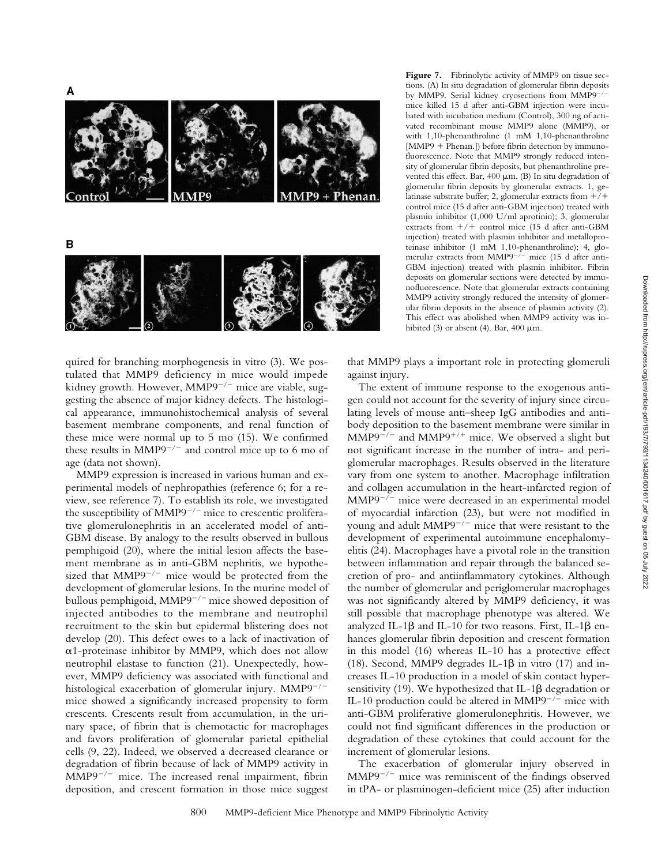



Figure 7. Fibrinolytic activity of MMP9 on tissue sections. (A) In situ degradation of glomerular fibrin deposits by MMP9. Serial kidney cryosections from MMP9<sup>-/</sup> mice killed 15 d after anti-GBM injection were incubated with incubation medium (Control), 300 ng of activated recombinant mouse MMP9 alone (MMP9), or with 1,10-phenanthroline (1 mM 1,10-phenanthroline  $[MMP9 + Phenan.]$ ) before fibrin detection by immunofluorescence. Note that MMP9 strongly reduced intensity of glomerular fibrin deposits, but phenanthroline prevented this effect. Bar,  $400 \mu m$ . (B) In situ degradation of glomerular fibrin deposits by glomerular extracts. 1, gelatinase substrate buffer; 2, glomerular extracts from  $+/+$ control mice (15 d after anti-GBM injection) treated with plasmin inhibitor (1,000 U/ml aprotinin); 3, glomerular extracts from  $+/+$  control mice (15 d after anti-GBM injection) treated with plasmin inhibitor and metalloproteinase inhibitor (1 mM 1,10-phenanthroline); 4, glomerular extracts from MMP9<sup> $-/-$ </sup> mice (15 d after anti-GBM injection) treated with plasmin inhibitor. Fibrin deposits on glomerular sections were detected by immunofluorescence. Note that glomerular extracts containing MMP9 activity strongly reduced the intensity of glomerular fibrin deposits in the absence of plasmin activity (2). This effect was abolished when MMP9 activity was inhibited (3) or absent (4). Bar,  $400 \mu m$ .

quired for branching morphogenesis in vitro (3). We postulated that MMP9 deficiency in mice would impede kidney growth. However,  $MMP9^{-/-}$  mice are viable, suggesting the absence of major kidney defects. The histological appearance, immunohistochemical analysis of several basement membrane components, and renal function of these mice were normal up to 5 mo (15). We confirmed these results in  $MMP9^{-/-}$  and control mice up to 6 mo of age (data not shown).

MMP9 expression is increased in various human and experimental models of nephropathies (reference 6; for a review, see reference 7). To establish its role, we investigated the susceptibility of  $MMP9^{-/-}$  mice to crescentic proliferative glomerulonephritis in an accelerated model of anti-GBM disease. By analogy to the results observed in bullous pemphigoid (20), where the initial lesion affects the basement membrane as in anti-GBM nephritis, we hypothesized that  $MMP9^{-/-}$  mice would be protected from the development of glomerular lesions. In the murine model of bullous pemphigoid, MMP9<sup>-/-</sup> mice showed deposition of injected antibodies to the membrane and neutrophil recruitment to the skin but epidermal blistering does not develop (20). This defect owes to a lack of inactivation of  $\alpha$ 1-proteinase inhibitor by MMP9, which does not allow neutrophil elastase to function (21). Unexpectedly, however, MMP9 deficiency was associated with functional and histological exacerbation of glomerular injury.  $MMP9^{-/-}$ mice showed a significantly increased propensity to form crescents. Crescents result from accumulation, in the urinary space, of fibrin that is chemotactic for macrophages and favors proliferation of glomerular parietal epithelial cells (9, 22). Indeed, we observed a decreased clearance or degradation of fibrin because of lack of MMP9 activity in  $MMP9^{-/-}$  mice. The increased renal impairment, fibrin deposition, and crescent formation in those mice suggest

that MMP9 plays a important role in protecting glomeruli against injury.

The extent of immune response to the exogenous antigen could not account for the severity of injury since circulating levels of mouse anti–sheep IgG antibodies and antibody deposition to the basement membrane were similar in  $MMP9^{-/-}$  and  $MMP9^{+/+}$  mice. We observed a slight but not significant increase in the number of intra- and periglomerular macrophages. Results observed in the literature vary from one system to another. Macrophage infiltration and collagen accumulation in the heart-infarcted region of  $MMP9^{-/-}$  mice were decreased in an experimental model of myocardial infarction (23), but were not modified in young and adult  $MMP9^{-/-}$  mice that were resistant to the development of experimental autoimmune encephalomyelitis (24). Macrophages have a pivotal role in the transition between inflammation and repair through the balanced secretion of pro- and antiinflammatory cytokines. Although the number of glomerular and periglomerular macrophages was not significantly altered by MMP9 deficiency, it was still possible that macrophage phenotype was altered. We analyzed IL-1 $\beta$  and IL-10 for two reasons. First, IL-1 $\beta$  enhances glomerular fibrin deposition and crescent formation in this model (16) whereas IL-10 has a protective effect (18). Second, MMP9 degrades IL-1 $\beta$  in vitro (17) and increases IL-10 production in a model of skin contact hypersensitivity (19). We hypothesized that IL-1 $\beta$  degradation or IL-10 production could be altered in MMP9 $^{-/-}$  mice with anti-GBM proliferative glomerulonephritis. However, we could not find significant differences in the production or degradation of these cytokines that could account for the increment of glomerular lesions.

The exacerbation of glomerular injury observed in  $MMP9^{-/-}$  mice was reminiscent of the findings observed in tPA- or plasminogen-deficient mice (25) after induction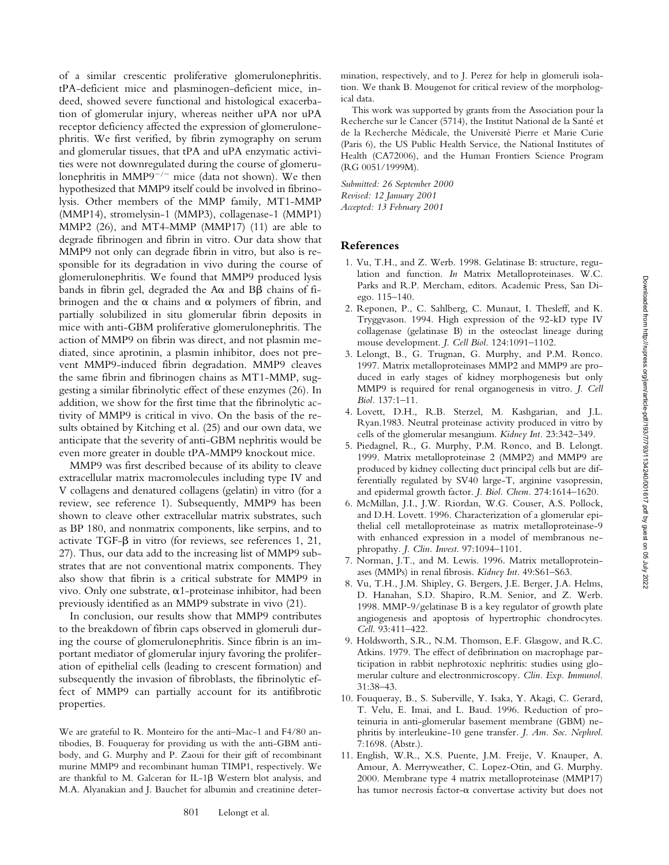of a similar crescentic proliferative glomerulonephritis. tPA-deficient mice and plasminogen-deficient mice, indeed, showed severe functional and histological exacerbation of glomerular injury, whereas neither uPA nor uPA receptor deficiency affected the expression of glomerulonephritis. We first verified, by fibrin zymography on serum and glomerular tissues, that tPA and uPA enzymatic activities were not downregulated during the course of glomerulonephritis in MMP9<sup> $-/-$ </sup> mice (data not shown). We then hypothesized that MMP9 itself could be involved in fibrinolysis. Other members of the MMP family, MT1-MMP (MMP14), stromelysin-1 (MMP3), collagenase-1 (MMP1) MMP2 (26), and MT4-MMP (MMP17) (11) are able to degrade fibrinogen and fibrin in vitro. Our data show that MMP9 not only can degrade fibrin in vitro*,* but also is responsible for its degradation in vivo during the course of glomerulonephritis. We found that MMP9 produced lysis bands in fibrin gel, degraded the  $A\alpha$  and  $B\beta$  chains of fibrinogen and the  $\alpha$  chains and  $\alpha$  polymers of fibrin, and partially solubilized in situ glomerular fibrin deposits in mice with anti-GBM proliferative glomerulonephritis. The action of MMP9 on fibrin was direct, and not plasmin mediated, since aprotinin, a plasmin inhibitor, does not prevent MMP9-induced fibrin degradation. MMP9 cleaves the same fibrin and fibrinogen chains as MT1-MMP, suggesting a similar fibrinolytic effect of these enzymes (26). In addition, we show for the first time that the fibrinolytic activity of MMP9 is critical in vivo. On the basis of the results obtained by Kitching et al. (25) and our own data, we anticipate that the severity of anti-GBM nephritis would be even more greater in double tPA-MMP9 knockout mice.

MMP9 was first described because of its ability to cleave extracellular matrix macromolecules including type IV and V collagens and denatured collagens (gelatin) in vitro (for a review, see reference 1). Subsequently, MMP9 has been shown to cleave other extracellular matrix substrates, such as BP 180, and nonmatrix components, like serpins, and to activate TGF- $\beta$  in vitro (for reviews, see references 1, 21, 27). Thus, our data add to the increasing list of MMP9 substrates that are not conventional matrix components. They also show that fibrin is a critical substrate for MMP9 in vivo. Only one substrate,  $\alpha$ 1-proteinase inhibitor, had been previously identified as an MMP9 substrate in vivo (21).

In conclusion, our results show that MMP9 contributes to the breakdown of fibrin caps observed in glomeruli during the course of glomerulonephritis. Since fibrin is an important mediator of glomerular injury favoring the proliferation of epithelial cells (leading to crescent formation) and subsequently the invasion of fibroblasts, the fibrinolytic effect of MMP9 can partially account for its antifibrotic properties.

We are grateful to R. Monteiro for the anti–Mac-1 and F4/80 antibodies, B. Fouqueray for providing us with the anti-GBM antibody, and G. Murphy and P. Zaoui for their gift of recombinant murine MMP9 and recombinant human TIMP1, respectively. We are thankful to M. Galceran for IL-1 $\beta$  Western blot analysis, and M.A. Alyanakian and J. Bauchet for albumin and creatinine determination, respectively, and to J. Perez for help in glomeruli isolation. We thank B. Mougenot for critical review of the morphological data.

This work was supported by grants from the Association pour la Recherche sur le Cancer (5714), the Institut National de la Santé et de la Recherche Médicale, the Université Pierre et Marie Curie (Paris 6), the US Public Health Service, the National Institutes of Health (CA72006), and the Human Frontiers Science Program (RG 0051/1999M).

*Submitted: 26 September 2000 Revised: 12 January 2001 Accepted: 13 February 2001*

### **References**

- 1. Vu, T.H., and Z. Werb. 1998. Gelatinase B: structure, regulation and function. *In* Matrix Metalloproteinases. W.C. Parks and R.P. Mercham, editors. Academic Press, San Diego. 115–140.
- 2. Reponen, P., C. Sahlberg, C. Munaut, I. Thesleff, and K. Tryggvason. 1994. High expression of the 92-kD type IV collagenase (gelatinase B) in the osteoclast lineage during mouse development. *J. Cell Biol.* 124:1091–1102.
- 3. Lelongt, B., G. Trugnan, G. Murphy, and P.M. Ronco. 1997. Matrix metalloproteinases MMP2 and MMP9 are produced in early stages of kidney morphogenesis but only MMP9 is required for renal organogenesis in vitro. *J. Cell Biol.* 137:1–11.
- 4. Lovett, D.H., R.B. Sterzel, M. Kashgarian, and J.L. Ryan.1983. Neutral proteinase activity produced in vitro by cells of the glomerular mesangium. *Kidney Int.* 23:342–349.
- 5. Piedagnel, R., G. Murphy, P.M. Ronco, and B. Lelongt. 1999. Matrix metalloproteinase 2 (MMP2) and MMP9 are produced by kidney collecting duct principal cells but are differentially regulated by SV40 large-T, arginine vasopressin, and epidermal growth factor. *J. Biol. Chem.* 274:1614–1620.
- 6. McMillan, J.I., J.W. Riordan, W.G. Couser, A.S. Pollock, and D.H. Lovett. 1996. Characterization of a glomerular epithelial cell metalloproteinase as matrix metalloproteinase-9 with enhanced expression in a model of membranous nephropathy*. J. Clin. Invest*. 97:1094–1101.
- 7. Norman, J.T., and M. Lewis. 1996. Matrix metalloproteinases (MMPs) in renal fibrosis. *Kidney Int*. 49:S61–S63.
- 8. Vu, T.H., J.M. Shipley, G. Bergers, J.E. Berger, J.A. Helms, D. Hanahan, S.D. Shapiro, R.M. Senior, and Z. Werb. 1998. MMP-9/gelatinase B is a key regulator of growth plate angiogenesis and apoptosis of hypertrophic chondrocytes. *Cell*. 93:411–422.
- 9. Holdsworth, S.R., N.M. Thomson, E.F. Glasgow, and R.C. Atkins. 1979. The effect of defibrination on macrophage participation in rabbit nephrotoxic nephritis: studies using glomerular culture and electronmicroscopy*. Clin. Exp. Immunol.* 31:38–43.
- 10. Fouqueray, B., S. Suberville, Y. Isaka, Y. Akagi, C. Gerard, T. Velu, E. Imai, and L. Baud. 1996. Reduction of proteinuria in anti-glomerular basement membrane (GBM) nephritis by interleukine-10 gene transfer*. J. Am. Soc. Nephrol*. 7:1698. (Abstr.).
- 11. English, W.R., X.S. Puente, J.M. Freije, V. Knauper, A. Amour, A. Merryweather, C. Lopez-Otin, and G. Murphy. 2000. Membrane type 4 matrix metalloproteinase (MMP17) has tumor necrosis factor- $\alpha$  convertase activity but does not